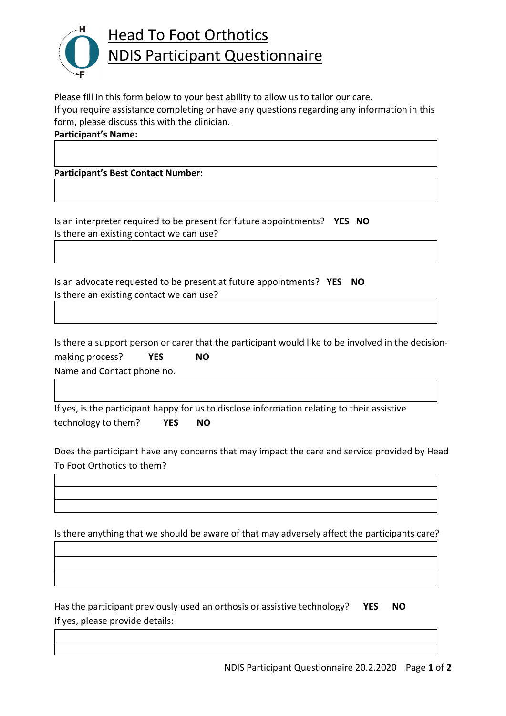

Please fill in this form below to your best ability to allow us to tailor our care. If you require assistance completing or have any questions regarding any information in this form, please discuss this with the clinician.

**Participant's Name:** 

**Participant's Best Contact Number:** 

Is an interpreter required to be present for future appointments? **YES NO** Is there an existing contact we can use?

Is an advocate requested to be present at future appointments? **YES NO** Is there an existing contact we can use?

Is there a support person or carer that the participant would like to be involved in the decisionmaking process? **YES NO** Name and Contact phone no.

If yes, is the participant happy for us to disclose information relating to their assistive technology to them? **YES NO** 

Does the participant have any concerns that may impact the care and service provided by Head To Foot Orthotics to them?

Is there anything that we should be aware of that may adversely affect the participants care?

Has the participant previously used an orthosis or assistive technology? **YES NO** If yes, please provide details: